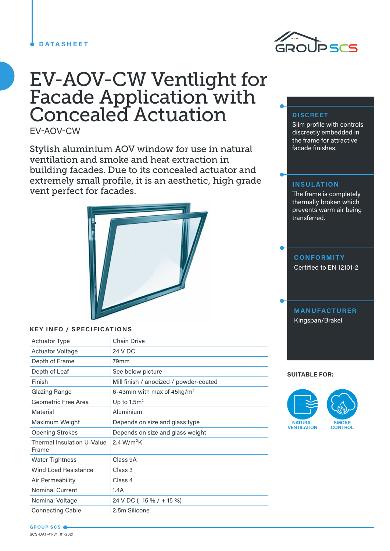## **DATASHEET**



# EV-AOV-CW Ventlight for Facade Application with Concealed Actuation

EV-AOV-CW

Stylish aluminium AOV window for use in natural ventilation and smoke and heat extraction in building facades. Due to its concealed actuator and extremely small profile, it is an aesthetic, high grade vent perfect for facades.



## **KEY INFO / SPECIFICATIONS**

| <b>Actuator Type</b>                       | <b>Chain Drive</b>                     |
|--------------------------------------------|----------------------------------------|
| <b>Actuator Voltage</b>                    | 24 V DC                                |
| Depth of Frame                             | 79 <sub>mm</sub>                       |
| Depth of Leaf                              | See below picture                      |
| Finish                                     | Mill finish / anodized / powder-coated |
| Glazing Range                              | 6-43mm with max of 45kg/m <sup>2</sup> |
| Geometric Free Area                        | Up to $1.5m2$                          |
| Material                                   | Aluminium                              |
| Maximum Weight                             | Depends on size and glass type         |
| <b>Opening Strokes</b>                     | Depends on size and glass weight       |
| <b>Thermal Insulation U-Value</b><br>Frame | 2.4 $W/m^2K$                           |
| <b>Water Tightness</b>                     | Class 9A                               |
| <b>Wind Load Resistance</b>                | Class 3                                |
| Air Permeability                           | Class 4                                |
| <b>Nominal Current</b>                     | 1.4A                                   |
| Nominal Voltage                            | 24 V DC (- 15 % / + 15 %)              |
| <b>Connecting Cable</b>                    | 2.5m Silicone                          |

# **DISCREET**

Slim profile with controls discreetly embedded in the frame for attractive facade finishes.

## **INSULATION**

The frame is completely thermally broken which prevents warm air being transferred.

# **CONFORMITY**

Certified to EN 12101-2

# **MANUFACTURER** Kingspan/Brakel

#### **SUITABLE FOR:**



**GROUP SCS** SCS-DAT-41-V1\_01-2021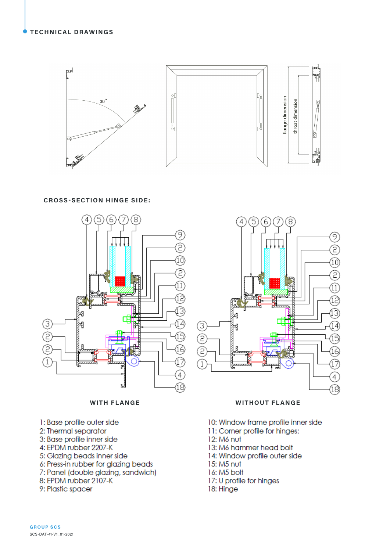

**CROSS-SECTION HINGE SIDE:** 





- 1: Base profile outer side
- 2: Thermal separator
- 3: Base profile inner side
- 4: EPDM rubber 2207-K
- 5: Glazing beads inner side
- 6: Press-in rubber for glazing beads
- 7: Panel (double glazing, sandwich)
- 8: EPDM rubber 2107-K
- 9: Plastic spacer

10: Window frame profile inner side

**WITHOUT FLANGE** 

11: Corner profile for hinges:

5) (6

 $\overline{4}$ 

7 8

9

T

ίû

2  $\widehat{1}$ ڿٙ

3

4

ି (18

12: M6 nut

ദ Ê È

 $\bigcap$ 

- 13: M6 hammer head bolt
- 14: Window profile outer side
- 15: M5 nut
- 16: M5 bolt
- 17: U profile for hinges
- 18: Hinge